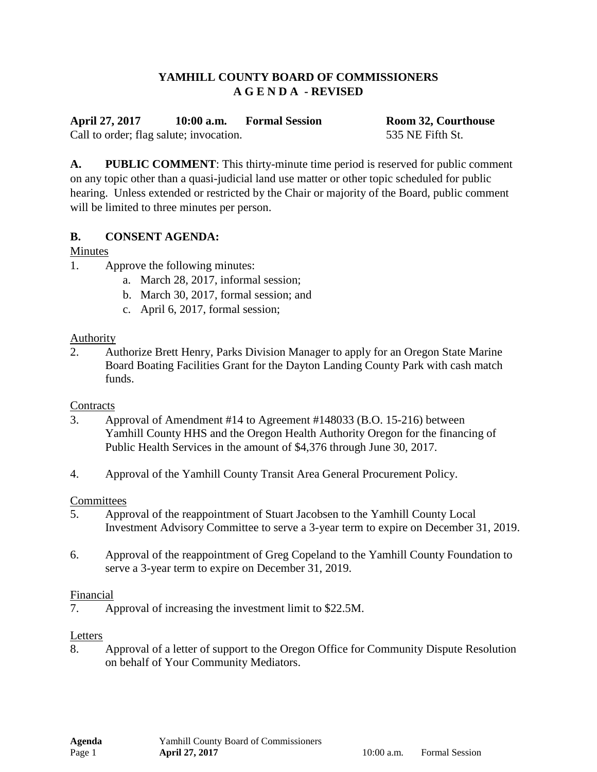### **YAMHILL COUNTY BOARD OF COMMISSIONERS A G E N D A - REVISED**

**April 27, 2017 10:00 a.m. Formal Session Room 32, Courthouse** Call to order; flag salute; invocation. 535 NE Fifth St.

**A. PUBLIC COMMENT**: This thirty-minute time period is reserved for public comment on any topic other than a quasi-judicial land use matter or other topic scheduled for public hearing. Unless extended or restricted by the Chair or majority of the Board, public comment will be limited to three minutes per person.

#### **B. CONSENT AGENDA:**

#### Minutes

- 1. Approve the following minutes:
	- a. March 28, 2017, informal session;
	- b. March 30, 2017, formal session; and
	- c. April 6, 2017, formal session;

#### **Authority**

2. Authorize Brett Henry, Parks Division Manager to apply for an Oregon State Marine Board Boating Facilities Grant for the Dayton Landing County Park with cash match funds.

#### **Contracts**

- 3. Approval of Amendment #14 to Agreement #148033 (B.O. 15-216) between Yamhill County HHS and the Oregon Health Authority Oregon for the financing of Public Health Services in the amount of \$4,376 through June 30, 2017.
- 4. Approval of the Yamhill County Transit Area General Procurement Policy.

#### **Committees**

- 5. Approval of the reappointment of Stuart Jacobsen to the Yamhill County Local Investment Advisory Committee to serve a 3-year term to expire on December 31, 2019.
- 6. Approval of the reappointment of Greg Copeland to the Yamhill County Foundation to serve a 3-year term to expire on December 31, 2019.

#### Financial

7. Approval of increasing the investment limit to \$22.5M.

#### Letters

8. Approval of a letter of support to the Oregon Office for Community Dispute Resolution on behalf of Your Community Mediators.